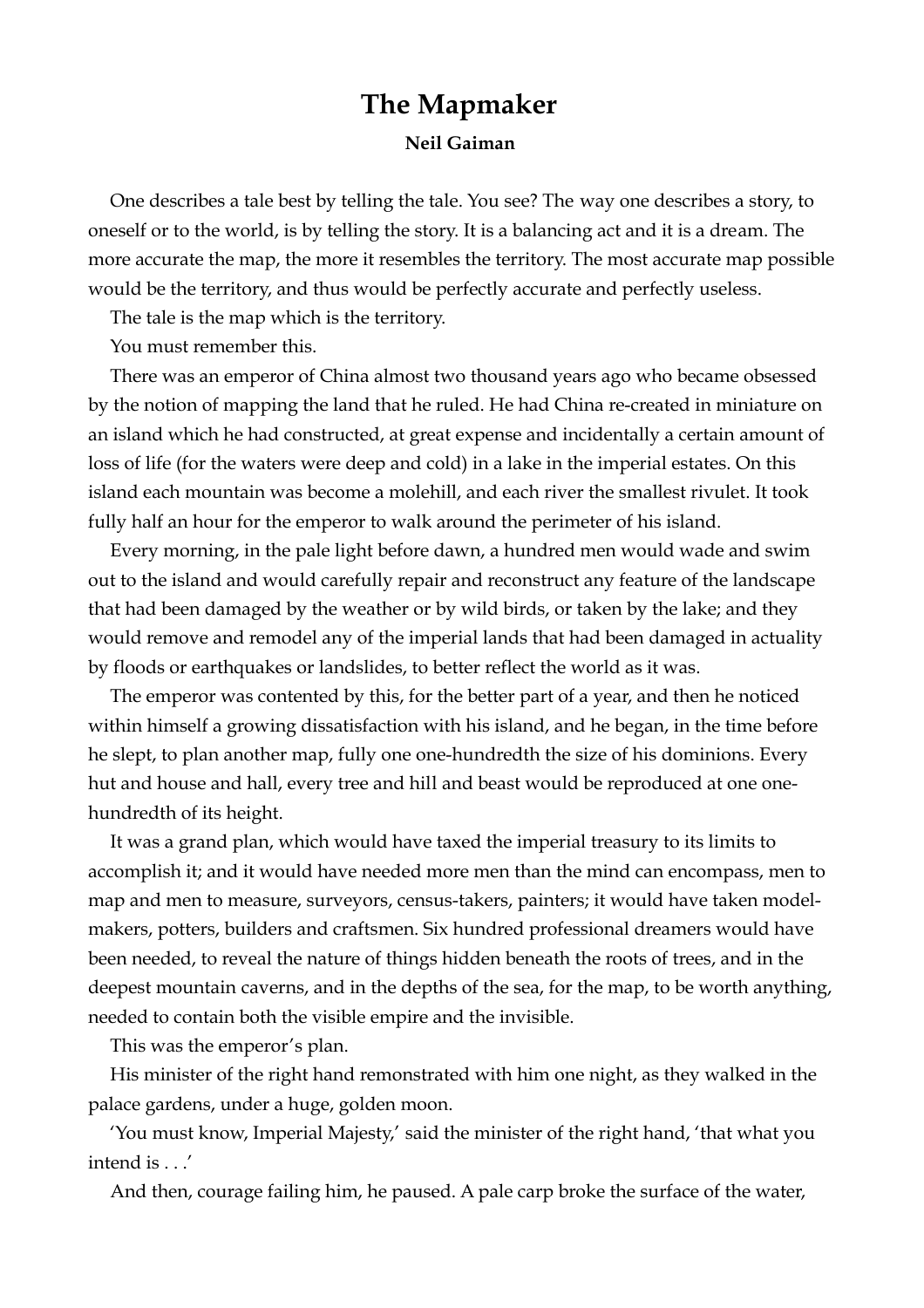## **The Mapmaker Neil Gaiman**

One describes a tale best by telling the tale. You see? The way one describes a story, to oneself or to the world, is by telling the story. It is a balancing act and it is a dream. The more accurate the map, the more it resembles the territory. The most accurate map possible would be the territory, and thus would be perfectly accurate and perfectly useless.

The tale is the map which is the territory.

You must remember this.

There was an emperor of China almost two thousand years ago who became obsessed by the notion of mapping the land that he ruled. He had China re-created in miniature on an island which he had constructed, at great expense and incidentally a certain amount of loss of life (for the waters were deep and cold) in a lake in the imperial estates. On this island each mountain was become a molehill, and each river the smallest rivulet. It took fully half an hour for the emperor to walk around the perimeter of his island.

Every morning, in the pale light before dawn, a hundred men would wade and swim out to the island and would carefully repair and reconstruct any feature of the landscape that had been damaged by the weather or by wild birds, or taken by the lake; and they would remove and remodel any of the imperial lands that had been damaged in actuality by floods or earthquakes or landslides, to better reflect the world as it was.

The emperor was contented by this, for the better part of a year, and then he noticed within himself a growing dissatisfaction with his island, and he began, in the time before he slept, to plan another map, fully one one-hundredth the size of his dominions. Every hut and house and hall, every tree and hill and beast would be reproduced at one onehundredth of its height.

It was a grand plan, which would have taxed the imperial treasury to its limits to accomplish it; and it would have needed more men than the mind can encompass, men to map and men to measure, surveyors, census-takers, painters; it would have taken modelmakers, potters, builders and craftsmen. Six hundred professional dreamers would have been needed, to reveal the nature of things hidden beneath the roots of trees, and in the deepest mountain caverns, and in the depths of the sea, for the map, to be worth anything, needed to contain both the visible empire and the invisible.

This was the emperor's plan.

His minister of the right hand remonstrated with him one night, as they walked in the palace gardens, under a huge, golden moon.

'You must know, Imperial Majesty,' said the minister of the right hand, 'that what you intend is . . .'

And then, courage failing him, he paused. A pale carp broke the surface of the water,